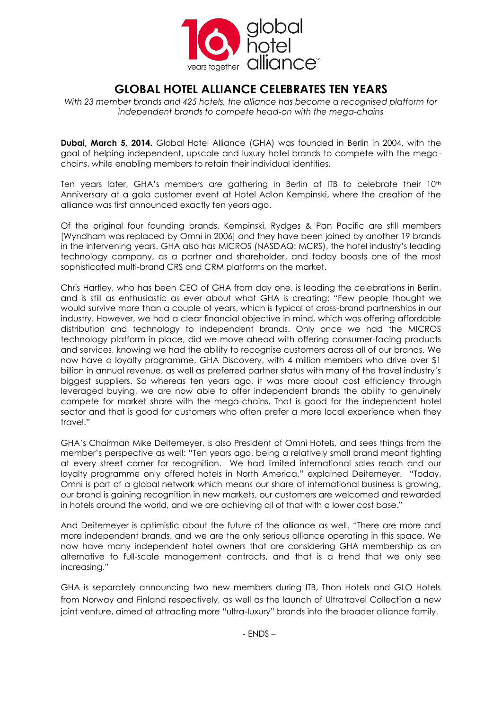

# **GLOBAL HOTEL ALLIANCE CELEBRATES TEN YEARS**

*With 23 member brands and 425 hotels, the alliance has become a recognised platform for independent brands to compete head-on with the mega-chains*

**Dubai, March 5, 2014.** Global Hotel Alliance (GHA) was founded in Berlin in 2004, with the goal of helping independent, upscale and luxury hotel brands to compete with the megachains, while enabling members to retain their individual identities.

Ten years later, GHA's members are gathering in Berlin at ITB to celebrate their 10<sup>th</sup> Anniversary at a gala customer event at Hotel Adlon Kempinski, where the creation of the alliance was first announced exactly ten years ago.

Of the original four founding brands, Kempinski, Rydges & Pan Pacific are still members [Wyndham was replaced by Omni in 2006] and they have been joined by another 19 brands in the intervening years. GHA also has MICROS (NASDAQ: MCRS), the hotel industry's leading technology company, as a partner and shareholder, and today boasts one of the most sophisticated multi-brand CRS and CRM platforms on the market.

Chris Hartley, who has been CEO of GHA from day one, is leading the celebrations in Berlin, and is still as enthusiastic as ever about what GHA is creating: "Few people thought we would survive more than a couple of years, which is typical of cross-brand partnerships in our industry. However, we had a clear financial objective in mind, which was offering affordable distribution and technology to independent brands. Only once we had the MICROS technology platform in place, did we move ahead with offering consumer-facing products and services, knowing we had the ability to recognise customers across all of our brands. We now have a loyalty programme, GHA Discovery, with 4 million members who drive over \$1 billion in annual revenue, as well as preferred partner status with many of the travel industry's biggest suppliers. So whereas ten years ago, it was more about cost efficiency through leveraged buying, we are now able to offer independent brands the ability to genuinely compete for market share with the mega-chains. That is good for the independent hotel sector and that is good for customers who often prefer a more local experience when they travel."

GHA's Chairman Mike Deitemeyer, is also President of Omni Hotels, and sees things from the member's perspective as well: "Ten years ago, being a relatively small brand meant fighting at every street corner for recognition. We had limited international sales reach and our loyalty programme only offered hotels in North America," explained Deitemeyer. "Today, Omni is part of a global network which means our share of international business is growing, our brand is gaining recognition in new markets, our customers are welcomed and rewarded in hotels around the world, and we are achieving all of that with a lower cost base."

And Deitemeyer is optimistic about the future of the alliance as well. "There are more and more independent brands, and we are the only serious alliance operating in this space. We now have many independent hotel owners that are considering GHA membership as an alternative to full-scale management contracts, and that is a trend that we only see increasing."

GHA is separately announcing two new members during ITB, Thon Hotels and GLO Hotels from Norway and Finland respectively, as well as the launch of Ultratravel Collection a new joint venture, aimed at attracting more "ultra-luxury" brands into the broader alliance family.